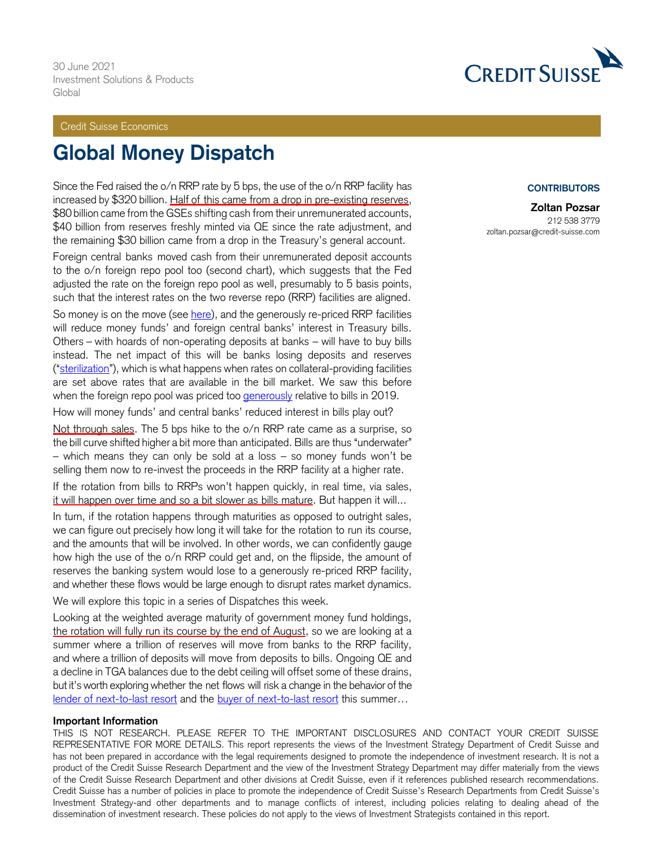#### Credit Suisse Economics

# **Global Money Dispatch**

Since the Fed raised the o/n RRP rate by 5 bps, the use of the o/n RRP facility has increased by \$320 billion. Half of this came from a drop in pre-existing reserves, \$80 billion came from the GSEs shifting cash from their unremunerated accounts, \$40 billion from reserves freshly minted via QE since the rate adjustment, and the remaining \$30 billion came from a drop in the Treasury's general account.

Foreign central banks moved cash from their unremunerated deposit accounts to the o/n foreign repo pool too (second chart), which suggests that the Fed adjusted the rate on the foreign repo pool as well, presumably to 5 basis points, such that the interest rates on the two reverse repo (RRP) facilities are aligned.

So money is on the move (see [here\)](https://plus.credit-suisse.com/rpc4/ravDocView?docid=V7r3ob2AN-SO8), and the generously re-priced RRP facilities will reduce money funds' and foreign central banks' interest in Treasury bills. Others – with hoards of non-operating deposits at banks – will have to buy bills instead. The net impact of this will be banks losing deposits and reserves ("[sterilization](https://plus.credit-suisse.com/rpc4/ravDocView?docid=V7Zbbw2AN-WTBd#:~:text=This%20issue%20of%20Global%20Money,and%20the%20fracking%20of%20reserves.&text=As%20sterilization%20increased%2C%20reserves%20declined,banks)"), which is what happens when rates on collateral-providing facilities are set above rates that are available in the bill market. We saw this before when the foreign repo pool was priced too **[generously](https://plus.credit-suisse.com/rpc4/ravDocView?docid=V7ihHS2AN-Vvd1)** relative to bills in 2019.

How will money funds' and central banks' reduced interest in bills play out?

Not through sales. The 5 bps hike to the o/n RRP rate came as a surprise, so the bill curve shifted higher a bit more than anticipated. Bills are thus "underwater" – which means they can only be sold at a loss – so money funds won't be selling them now to re-invest the proceeds in the RRP facility at a higher rate.

If the rotation from bills to RRPs won't happen quickly, in real time, via sales, it will happen over time and so a bit slower as bills mature. But happen it will...

In turn, if the rotation happens through maturities as opposed to outright sales, we can figure out precisely how long it will take for the rotation to run its course, and the amounts that will be involved. In other words, we can confidently gauge how high the use of the o/n RRP could get and, on the flipside, the amount of reserves the banking system would lose to a generously re-priced RRP facility, and whether these flows would be large enough to disrupt rates market dynamics.

We will explore this topic in a series of Dispatches this week.

Looking at the weighted average maturity of government money fund holdings, the rotation will fully run its course by the end of August, so we are looking at a summer where a trillion of reserves will move from banks to the RRP facility, and where a trillion of deposits will move from deposits to bills. Ongoing QE and a decline in TGA balances due to the debt ceiling will offset some of these drains, but it's worth exploring whether the net flows will risk a change in the behavior of the [lender of next-to-last resort](https://plus.credit-suisse.com/rpc4/ravDocView?docid=V7rTap2AN-WTBd) and the [buyer of next-to-last resort](https://plus.credit-suisse.com/rpc4/ravDocView?docid=V7rO962AN-SO8) this summer...

#### **Important Information**

THIS IS NOT RESEARCH. PLEASE REFER TO THE IMPORTANT DISCLOSURES AND CONTACT YOUR CREDIT SUISSE REPRESENTATIVE FOR MORE DETAILS. This report represents the views of the Investment Strategy Department of Credit Suisse and has not been prepared in accordance with the legal requirements designed to promote the independence of investment research. It is not a product of the Credit Suisse Research Department and the view of the Investment Strategy Department may differ materially from the views of the Credit Suisse Research Department and other divisions at Credit Suisse, even if it references published research recommendations. Credit Suisse has a number of policies in place to promote the independence of Credit Suisse's Research Departments from Credit Suisse's Investment Strategy-and other departments and to manage conflicts of interest, including policies relating to dealing ahead of the dissemination of investment research. These policies do not apply to the views of Investment Strategists contained in this report.



#### **CONTRIBUTORS**

**Zoltan Pozsar** 212 538 3779 zoltan.pozsar@credit-suisse.com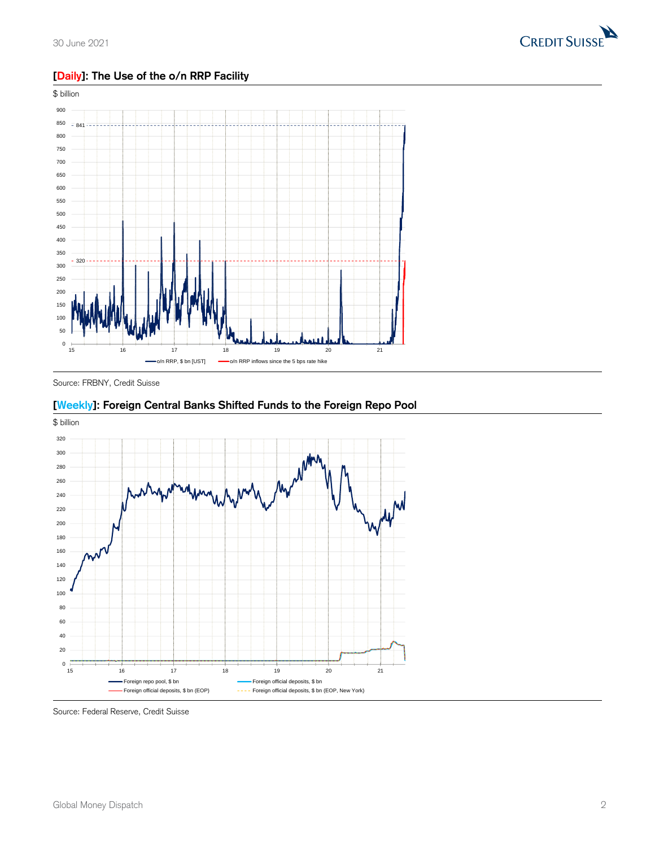

## **[Daily]: The Use of the o/n RRP Facility**



Source: FRBNY, Credit Suisse

## **[Weekly]: Foreign Central Banks Shifted Funds to the Foreign Repo Pool**



Source: Federal Reserve, Credit Suisse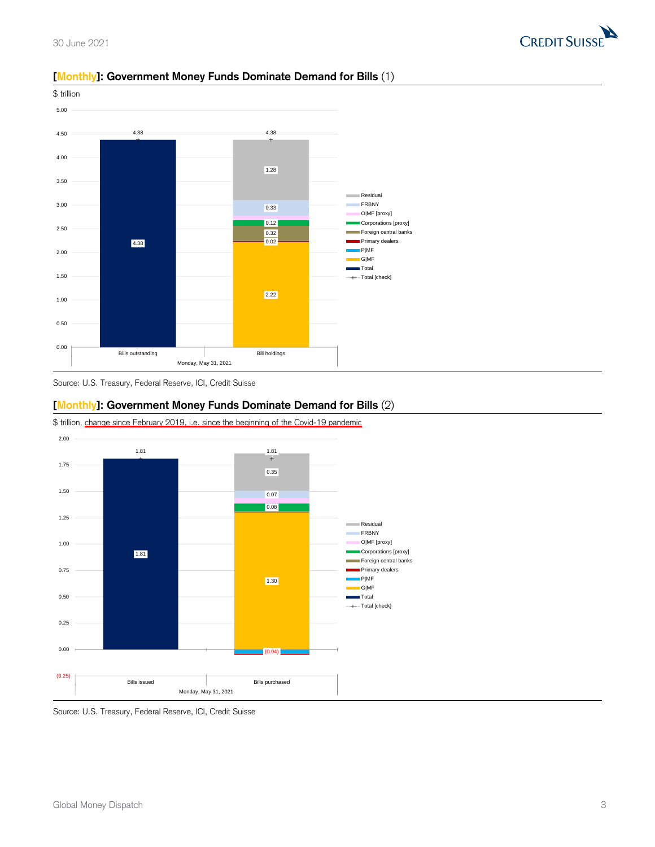



#### **[Monthly]: Government Money Funds Dominate Demand for Bills** (1)



## **[Monthly]: Government Money Funds Dominate Demand for Bills** (2)



\$ trillion, change since February 2019, i.e. since the beginning of the Covid-19 pandemic

Source: U.S. Treasury, Federal Reserve, ICI, Credit Suisse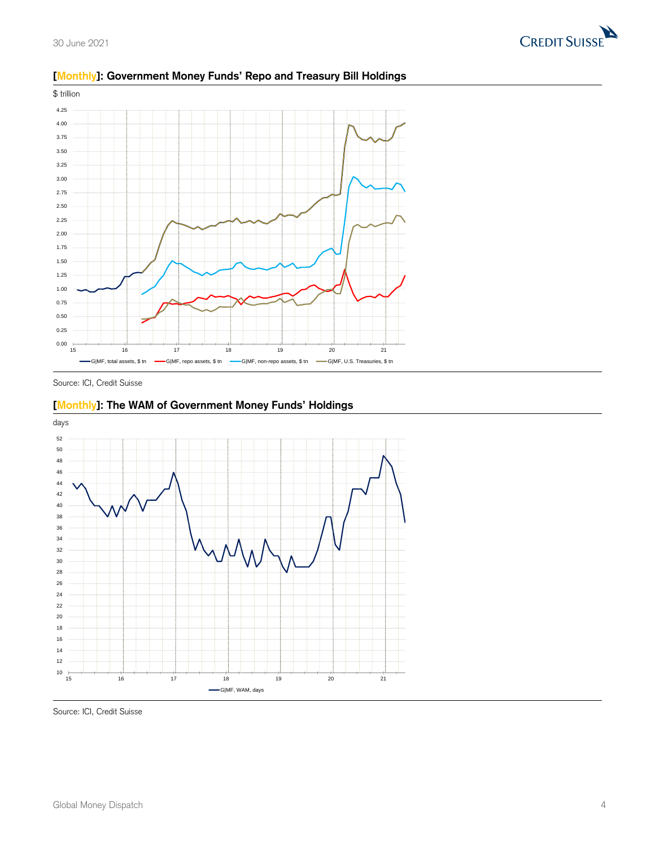



## **[Monthly]: Government Money Funds' Repo and Treasury Bill Holdings**

Source: ICI, Credit Suisse





Source: ICI, Credit Suisse